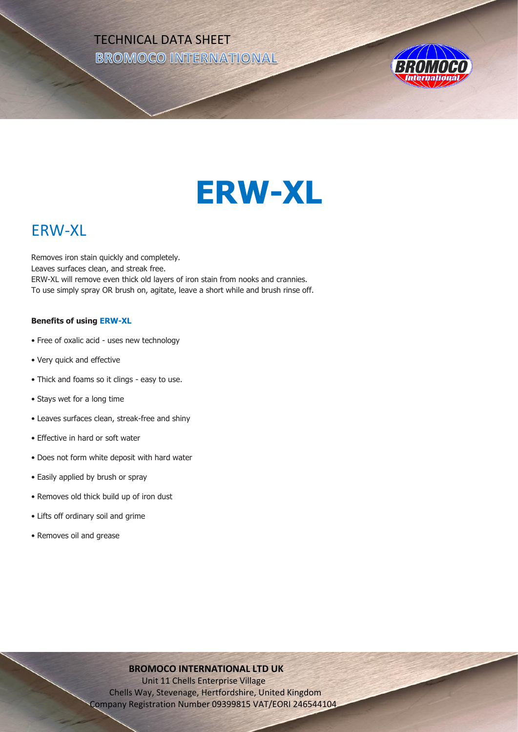TECHNICAL DATA SHEET **BROMOCO INTERNATIONAL** 



# **ERW-XL**

# ERW-XL

Removes iron stain quickly and completely. Leaves surfaces clean, and streak free. ERW-XL will remove even thick old layers of iron stain from nooks and crannies. To use simply spray OR brush on, agitate, leave a short while and brush rinse off.

## **Benefits of using ERW-XL**

- Free of oxalic acid uses new technology
- Very quick and effective
- Thick and foams so it clings easy to use.
- Stays wet for a long time
- Leaves surfaces clean, streak-free and shiny
- Effective in hard or soft water
- Does not form white deposit with hard water
- Easily applied by brush or spray
- Removes old thick build up of iron dust
- Lifts off ordinary soil and grime
- Removes oil and grease

# **BROMOCO INTERNATIONAL LTD UK**

 Unit 11 Chells Enterprise Village Chells Way, Stevenage, Hertfordshire, United Kingdom Company Registration Number 09399815 VAT/EORI 246544104